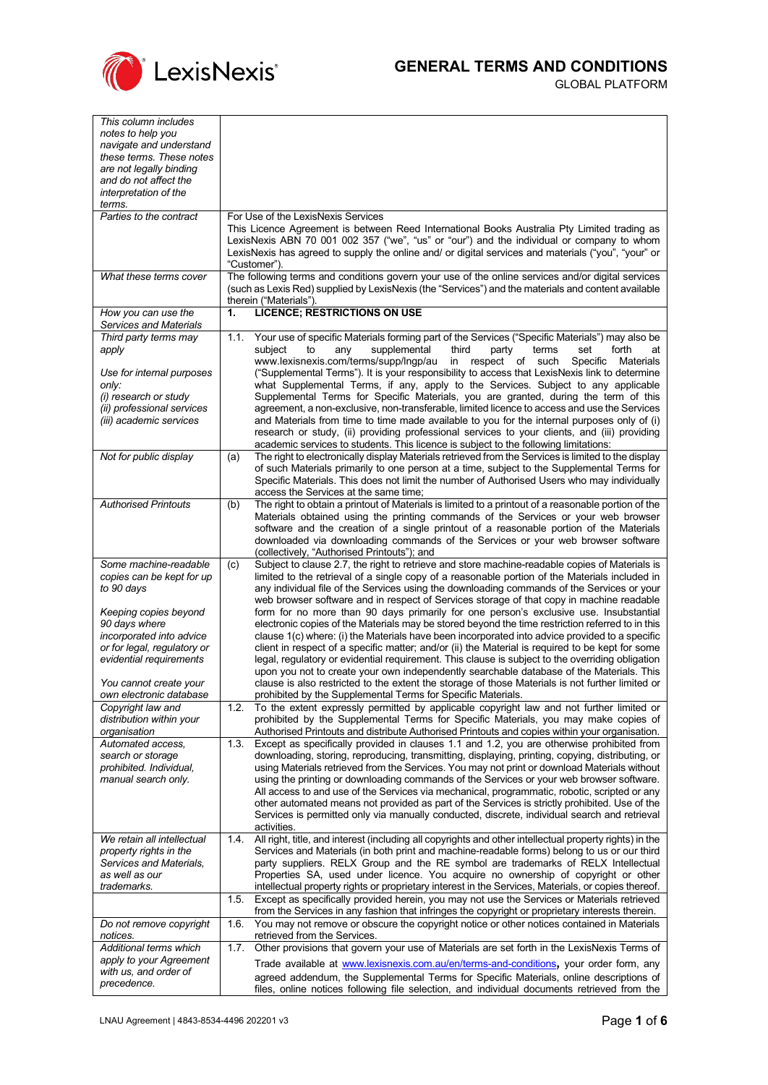

GLOBAL PLATFORM

| This column includes                                |                |                                                                                                                                                                                                    |
|-----------------------------------------------------|----------------|----------------------------------------------------------------------------------------------------------------------------------------------------------------------------------------------------|
| notes to help you                                   |                |                                                                                                                                                                                                    |
| navigate and understand                             |                |                                                                                                                                                                                                    |
| these terms. These notes<br>are not legally binding |                |                                                                                                                                                                                                    |
| and do not affect the                               |                |                                                                                                                                                                                                    |
| interpretation of the                               |                |                                                                                                                                                                                                    |
| terms.                                              |                |                                                                                                                                                                                                    |
| Parties to the contract                             |                | For Use of the LexisNexis Services                                                                                                                                                                 |
|                                                     |                | This Licence Agreement is between Reed International Books Australia Pty Limited trading as                                                                                                        |
|                                                     |                | LexisNexis ABN 70 001 002 357 ("we", "us" or "our") and the individual or company to whom<br>LexisNexis has agreed to supply the online and/ or digital services and materials ("you", "your" or   |
|                                                     |                | "Customer").                                                                                                                                                                                       |
| What these terms cover                              |                | The following terms and conditions govern your use of the online services and/or digital services                                                                                                  |
|                                                     |                | (such as Lexis Red) supplied by LexisNexis (the "Services") and the materials and content available                                                                                                |
|                                                     |                | therein ("Materials").                                                                                                                                                                             |
| How you can use the                                 | $\mathbf{1}$ . | <b>LICENCE; RESTRICTIONS ON USE</b>                                                                                                                                                                |
| Services and Materials                              |                |                                                                                                                                                                                                    |
| Third party terms may<br>apply                      | 1.1.           | Your use of specific Materials forming part of the Services ("Specific Materials") may also be<br>subject<br>to<br>supplemental<br>third<br>terms<br>forth<br>any<br>party<br>set<br>at            |
|                                                     |                | www.lexisnexis.com/terms/supp/Ingp/au<br>in respect of such<br>Specific<br>Materials                                                                                                               |
| Use for internal purposes                           |                | ("Supplemental Terms"). It is your responsibility to access that LexisNexis link to determine                                                                                                      |
| only:                                               |                | what Supplemental Terms, if any, apply to the Services. Subject to any applicable                                                                                                                  |
| (i) research or study                               |                | Supplemental Terms for Specific Materials, you are granted, during the term of this                                                                                                                |
| (ii) professional services                          |                | agreement, a non-exclusive, non-transferable, limited licence to access and use the Services<br>and Materials from time to time made available to you for the internal purposes only of (i)        |
| (iii) academic services                             |                | research or study, (ii) providing professional services to your clients, and (iii) providing                                                                                                       |
|                                                     |                | academic services to students. This licence is subject to the following limitations:                                                                                                               |
| Not for public display                              | (a)            | The right to electronically display Materials retrieved from the Services is limited to the display                                                                                                |
|                                                     |                | of such Materials primarily to one person at a time, subject to the Supplemental Terms for                                                                                                         |
|                                                     |                | Specific Materials. This does not limit the number of Authorised Users who may individually                                                                                                        |
|                                                     |                | access the Services at the same time;                                                                                                                                                              |
| <b>Authorised Printouts</b>                         | (b)            | The right to obtain a printout of Materials is limited to a printout of a reasonable portion of the<br>Materials obtained using the printing commands of the Services or your web browser          |
|                                                     |                | software and the creation of a single printout of a reasonable portion of the Materials                                                                                                            |
|                                                     |                | downloaded via downloading commands of the Services or your web browser software                                                                                                                   |
|                                                     |                |                                                                                                                                                                                                    |
|                                                     |                | (collectively, "Authorised Printouts"); and                                                                                                                                                        |
| Some machine-readable                               | (c)            | Subject to clause 2.7, the right to retrieve and store machine-readable copies of Materials is                                                                                                     |
| copies can be kept for up                           |                | limited to the retrieval of a single copy of a reasonable portion of the Materials included in                                                                                                     |
| to 90 days                                          |                | any individual file of the Services using the downloading commands of the Services or your                                                                                                         |
|                                                     |                | web browser software and in respect of Services storage of that copy in machine readable                                                                                                           |
| Keeping copies beyond                               |                | form for no more than 90 days primarily for one person's exclusive use. Insubstantial                                                                                                              |
| 90 days where<br>incorporated into advice           |                | electronic copies of the Materials may be stored beyond the time restriction referred to in this<br>clause 1(c) where: (i) the Materials have been incorporated into advice provided to a specific |
| or for legal, regulatory or                         |                | client in respect of a specific matter; and/or (ii) the Material is required to be kept for some                                                                                                   |
| evidential requirements                             |                | legal, regulatory or evidential requirement. This clause is subject to the overriding obligation                                                                                                   |
|                                                     |                | upon you not to create your own independently searchable database of the Materials. This                                                                                                           |
| You cannot create your                              |                | clause is also restricted to the extent the storage of those Materials is not further limited or                                                                                                   |
| own electronic database                             |                | prohibited by the Supplemental Terms for Specific Materials.                                                                                                                                       |
| Copyright law and<br>distribution within your       | 1.2.           | To the extent expressly permitted by applicable copyright law and not further limited or<br>prohibited by the Supplemental Terms for Specific Materials, you may make copies of                    |
| organisation                                        |                | Authorised Printouts and distribute Authorised Printouts and copies within your organisation.                                                                                                      |
| Automated access.                                   | 1.3.           | Except as specifically provided in clauses 1.1 and 1.2, you are otherwise prohibited from                                                                                                          |
| search or storage                                   |                | downloading, storing, reproducing, transmitting, displaying, printing, copying, distributing, or                                                                                                   |
| prohibited. Individual,                             |                | using Materials retrieved from the Services. You may not print or download Materials without                                                                                                       |
| manual search only.                                 |                | using the printing or downloading commands of the Services or your web browser software.                                                                                                           |
|                                                     |                | All access to and use of the Services via mechanical, programmatic, robotic, scripted or any                                                                                                       |
|                                                     |                | other automated means not provided as part of the Services is strictly prohibited. Use of the<br>Services is permitted only via manually conducted, discrete, individual search and retrieval      |
|                                                     |                | activities.                                                                                                                                                                                        |
| We retain all intellectual                          | 1.4.           | All right, title, and interest (including all copyrights and other intellectual property rights) in the                                                                                            |
| property rights in the                              |                | Services and Materials (in both print and machine-readable forms) belong to us or our third                                                                                                        |
| Services and Materials.                             |                | party suppliers. RELX Group and the RE symbol are trademarks of RELX Intellectual                                                                                                                  |
| as well as our<br>trademarks.                       |                | Properties SA, used under licence. You acquire no ownership of copyright or other                                                                                                                  |
|                                                     | 1.5.           | intellectual property rights or proprietary interest in the Services, Materials, or copies thereof.<br>Except as specifically provided herein, you may not use the Services or Materials retrieved |
|                                                     |                | from the Services in any fashion that infringes the copyright or proprietary interests therein.                                                                                                    |
| Do not remove copyright                             | 1.6.           | You may not remove or obscure the copyright notice or other notices contained in Materials                                                                                                         |
| notices.                                            |                | retrieved from the Services.                                                                                                                                                                       |
| Additional terms which                              | 1.7.           | Other provisions that govern your use of Materials are set forth in the LexisNexis Terms of                                                                                                        |
| apply to your Agreement                             |                | Trade available at www.lexisnexis.com.au/en/terms-and-conditions, your order form, any                                                                                                             |
| with us, and order of<br>precedence.                |                | agreed addendum, the Supplemental Terms for Specific Materials, online descriptions of<br>files, online notices following file selection, and individual documents retrieved from the              |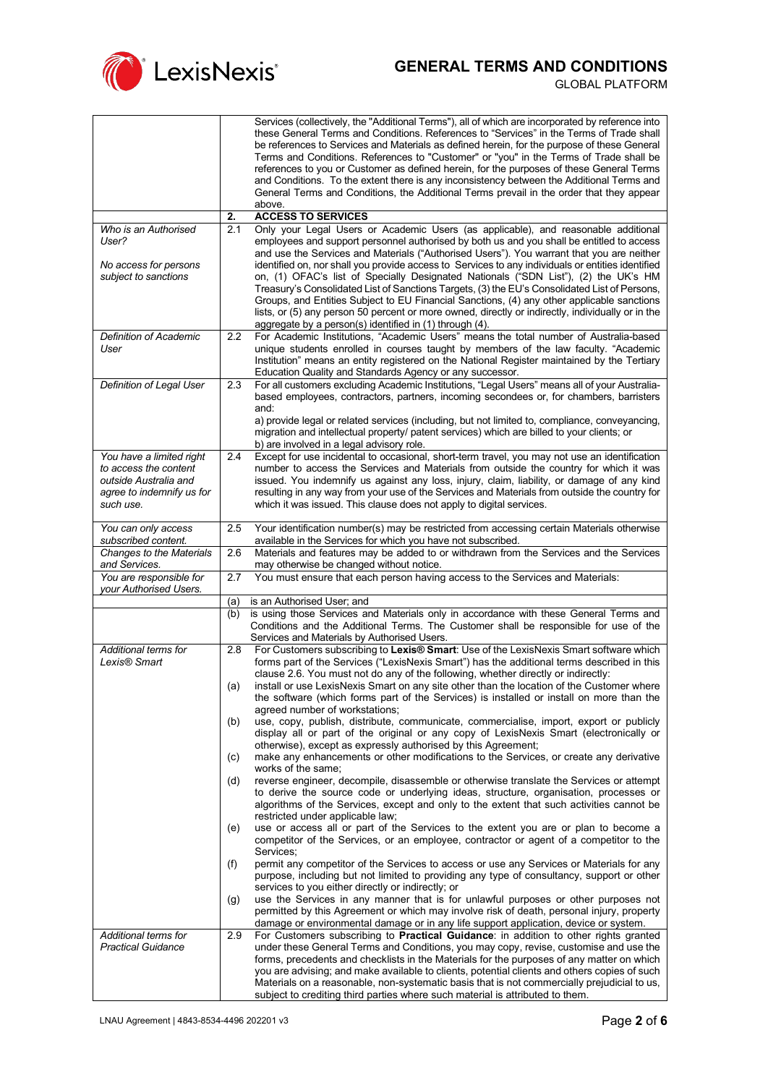

|                                                   |                  | Services (collectively, the "Additional Terms"), all of which are incorporated by reference into<br>these General Terms and Conditions. References to "Services" in the Terms of Trade shall<br>be references to Services and Materials as defined herein, for the purpose of these General                                                                                             |
|---------------------------------------------------|------------------|-----------------------------------------------------------------------------------------------------------------------------------------------------------------------------------------------------------------------------------------------------------------------------------------------------------------------------------------------------------------------------------------|
|                                                   |                  | Terms and Conditions. References to "Customer" or "you" in the Terms of Trade shall be<br>references to you or Customer as defined herein, for the purposes of these General Terms                                                                                                                                                                                                      |
|                                                   |                  | and Conditions. To the extent there is any inconsistency between the Additional Terms and<br>General Terms and Conditions, the Additional Terms prevail in the order that they appear                                                                                                                                                                                                   |
|                                                   | 2.               | above.<br><b>ACCESS TO SERVICES</b>                                                                                                                                                                                                                                                                                                                                                     |
| Who is an Authorised                              | 2.1              | Only your Legal Users or Academic Users (as applicable), and reasonable additional                                                                                                                                                                                                                                                                                                      |
| User?                                             |                  | employees and support personnel authorised by both us and you shall be entitled to access<br>and use the Services and Materials ("Authorised Users"). You warrant that you are neither                                                                                                                                                                                                  |
| No access for persons<br>subject to sanctions     |                  | identified on, nor shall you provide access to Services to any individuals or entities identified<br>on, (1) OFAC's list of Specially Designated Nationals ("SDN List"), (2) the UK's HM<br>Treasury's Consolidated List of Sanctions Targets, (3) the EU's Consolidated List of Persons,<br>Groups, and Entities Subject to EU Financial Sanctions, (4) any other applicable sanctions |
|                                                   |                  | lists, or (5) any person 50 percent or more owned, directly or indirectly, individually or in the<br>aggregate by a person(s) identified in (1) through (4).                                                                                                                                                                                                                            |
| Definition of Academic                            | $2.2\phantom{0}$ | For Academic Institutions, "Academic Users" means the total number of Australia-based                                                                                                                                                                                                                                                                                                   |
| User                                              |                  | unique students enrolled in courses taught by members of the law faculty. "Academic<br>Institution" means an entity registered on the National Register maintained by the Tertiary<br>Education Quality and Standards Agency or any successor.                                                                                                                                          |
| Definition of Legal User                          | 2.3              | For all customers excluding Academic Institutions, "Legal Users" means all of your Australia-<br>based employees, contractors, partners, incoming secondees or, for chambers, barristers<br>and:                                                                                                                                                                                        |
|                                                   |                  | a) provide legal or related services (including, but not limited to, compliance, conveyancing,<br>migration and intellectual property/ patent services) which are billed to your clients; or<br>b) are involved in a legal advisory role.                                                                                                                                               |
| You have a limited right                          | 2.4              | Except for use incidental to occasional, short-term travel, you may not use an identification                                                                                                                                                                                                                                                                                           |
| to access the content<br>outside Australia and    |                  | number to access the Services and Materials from outside the country for which it was<br>issued. You indemnify us against any loss, injury, claim, liability, or damage of any kind                                                                                                                                                                                                     |
| agree to indemnify us for                         |                  | resulting in any way from your use of the Services and Materials from outside the country for                                                                                                                                                                                                                                                                                           |
| such use.                                         |                  | which it was issued. This clause does not apply to digital services.                                                                                                                                                                                                                                                                                                                    |
| You can only access<br>subscribed content.        | 2.5              | Your identification number(s) may be restricted from accessing certain Materials otherwise<br>available in the Services for which you have not subscribed.                                                                                                                                                                                                                              |
| <b>Changes to the Materials</b><br>and Services.  | 2.6              | Materials and features may be added to or withdrawn from the Services and the Services<br>may otherwise be changed without notice.                                                                                                                                                                                                                                                      |
| You are responsible for<br>your Authorised Users. | 2.7              | You must ensure that each person having access to the Services and Materials:                                                                                                                                                                                                                                                                                                           |
|                                                   | (a)              | is an Authorised User; and                                                                                                                                                                                                                                                                                                                                                              |
|                                                   | (b)              | is using those Services and Materials only in accordance with these General Terms and<br>Conditions and the Additional Terms. The Customer shall be responsible for use of the<br>Services and Materials by Authorised Users.                                                                                                                                                           |
| Additional terms for<br>Lexis® Smart              | 2.8              | For Customers subscribing to Lexis® Smart: Use of the LexisNexis Smart software which<br>forms part of the Services ("LexisNexis Smart") has the additional terms described in this<br>clause 2.6. You must not do any of the following, whether directly or indirectly:                                                                                                                |
|                                                   | (a)              | install or use LexisNexis Smart on any site other than the location of the Customer where<br>the software (which forms part of the Services) is installed or install on more than the                                                                                                                                                                                                   |
|                                                   | (b)              | agreed number of workstations;<br>use, copy, publish, distribute, communicate, commercialise, import, export or publicly<br>display all or part of the original or any copy of LexisNexis Smart (electronically or                                                                                                                                                                      |
|                                                   | (c)              | otherwise), except as expressly authorised by this Agreement;<br>make any enhancements or other modifications to the Services, or create any derivative<br>works of the same;                                                                                                                                                                                                           |
|                                                   | (d)              | reverse engineer, decompile, disassemble or otherwise translate the Services or attempt<br>to derive the source code or underlying ideas, structure, organisation, processes or<br>algorithms of the Services, except and only to the extent that such activities cannot be                                                                                                             |
|                                                   | (e)              | restricted under applicable law;<br>use or access all or part of the Services to the extent you are or plan to become a                                                                                                                                                                                                                                                                 |
|                                                   | (f)              | competitor of the Services, or an employee, contractor or agent of a competitor to the<br>Services;<br>permit any competitor of the Services to access or use any Services or Materials for any                                                                                                                                                                                         |
|                                                   |                  | purpose, including but not limited to providing any type of consultancy, support or other<br>services to you either directly or indirectly; or                                                                                                                                                                                                                                          |
|                                                   | (g)              | use the Services in any manner that is for unlawful purposes or other purposes not<br>permitted by this Agreement or which may involve risk of death, personal injury, property<br>damage or environmental damage or in any life support application, device or system.                                                                                                                 |
| Additional terms for                              | 2.9              | For Customers subscribing to Practical Guidance: in addition to other rights granted                                                                                                                                                                                                                                                                                                    |
| <b>Practical Guidance</b>                         |                  | under these General Terms and Conditions, you may copy, revise, customise and use the<br>forms, precedents and checklists in the Materials for the purposes of any matter on which                                                                                                                                                                                                      |
|                                                   |                  | you are advising; and make available to clients, potential clients and others copies of such                                                                                                                                                                                                                                                                                            |
|                                                   |                  | Materials on a reasonable, non-systematic basis that is not commercially prejudicial to us,<br>subject to crediting third parties where such material is attributed to them.                                                                                                                                                                                                            |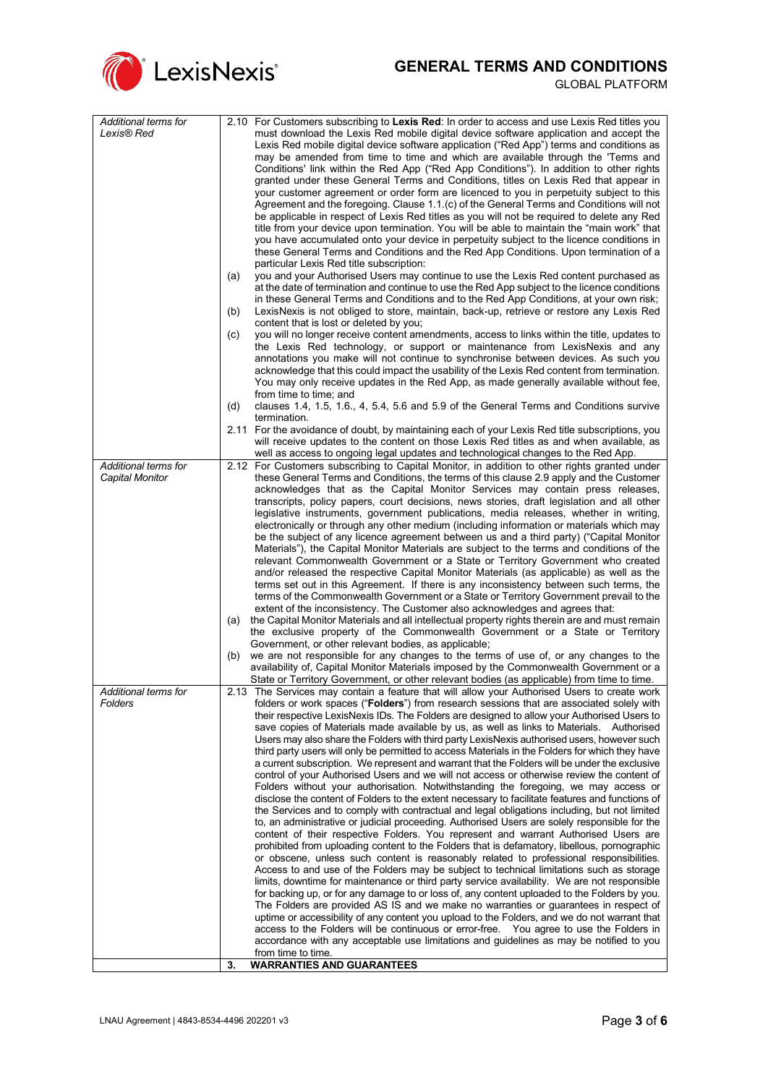

| Additional terms for<br>Lexis® Red      | 2.10 For Customers subscribing to Lexis Red: In order to access and use Lexis Red titles you<br>must download the Lexis Red mobile digital device software application and accept the<br>Lexis Red mobile digital device software application ("Red App") terms and conditions as<br>may be amended from time to time and which are available through the 'Terms and<br>Conditions' link within the Red App ("Red App Conditions"). In addition to other rights<br>granted under these General Terms and Conditions, titles on Lexis Red that appear in<br>your customer agreement or order form are licenced to you in perpetuity subject to this<br>Agreement and the foregoing. Clause 1.1.(c) of the General Terms and Conditions will not<br>be applicable in respect of Lexis Red titles as you will not be required to delete any Red<br>title from your device upon termination. You will be able to maintain the "main work" that<br>you have accumulated onto your device in perpetuity subject to the licence conditions in<br>these General Terms and Conditions and the Red App Conditions. Upon termination of a<br>particular Lexis Red title subscription:<br>you and your Authorised Users may continue to use the Lexis Red content purchased as<br>(a)<br>at the date of termination and continue to use the Red App subject to the licence conditions<br>in these General Terms and Conditions and to the Red App Conditions, at your own risk;<br>LexisNexis is not obliged to store, maintain, back-up, retrieve or restore any Lexis Red<br>(b)<br>content that is lost or deleted by you;<br>you will no longer receive content amendments, access to links within the title, updates to<br>(c)<br>the Lexis Red technology, or support or maintenance from LexisNexis and any<br>annotations you make will not continue to synchronise between devices. As such you<br>acknowledge that this could impact the usability of the Lexis Red content from termination.<br>You may only receive updates in the Red App, as made generally available without fee,<br>from time to time; and<br>(d)<br>clauses 1.4, 1.5, 1.6., 4, 5.4, 5.6 and 5.9 of the General Terms and Conditions survive<br>termination.<br>2.11 For the avoidance of doubt, by maintaining each of your Lexis Red title subscriptions, you |
|-----------------------------------------|-------------------------------------------------------------------------------------------------------------------------------------------------------------------------------------------------------------------------------------------------------------------------------------------------------------------------------------------------------------------------------------------------------------------------------------------------------------------------------------------------------------------------------------------------------------------------------------------------------------------------------------------------------------------------------------------------------------------------------------------------------------------------------------------------------------------------------------------------------------------------------------------------------------------------------------------------------------------------------------------------------------------------------------------------------------------------------------------------------------------------------------------------------------------------------------------------------------------------------------------------------------------------------------------------------------------------------------------------------------------------------------------------------------------------------------------------------------------------------------------------------------------------------------------------------------------------------------------------------------------------------------------------------------------------------------------------------------------------------------------------------------------------------------------------------------------------------------------------------------------------------------------------------------------------------------------------------------------------------------------------------------------------------------------------------------------------------------------------------------------------------------------------------------------------------------------------------------------------------------------------------------------------------------------------------------------------------------|
|                                         | will receive updates to the content on those Lexis Red titles as and when available, as                                                                                                                                                                                                                                                                                                                                                                                                                                                                                                                                                                                                                                                                                                                                                                                                                                                                                                                                                                                                                                                                                                                                                                                                                                                                                                                                                                                                                                                                                                                                                                                                                                                                                                                                                                                                                                                                                                                                                                                                                                                                                                                                                                                                                                             |
|                                         | well as access to ongoing legal updates and technological changes to the Red App.                                                                                                                                                                                                                                                                                                                                                                                                                                                                                                                                                                                                                                                                                                                                                                                                                                                                                                                                                                                                                                                                                                                                                                                                                                                                                                                                                                                                                                                                                                                                                                                                                                                                                                                                                                                                                                                                                                                                                                                                                                                                                                                                                                                                                                                   |
| Additional terms for<br>Capital Monitor | 2.12 For Customers subscribing to Capital Monitor, in addition to other rights granted under<br>these General Terms and Conditions, the terms of this clause 2.9 apply and the Customer<br>acknowledges that as the Capital Monitor Services may contain press releases,<br>transcripts, policy papers, court decisions, news stories, draft legislation and all other<br>legislative instruments, government publications, media releases, whether in writing,<br>electronically or through any other medium (including information or materials which may<br>be the subject of any licence agreement between us and a third party) ("Capital Monitor<br>Materials"), the Capital Monitor Materials are subject to the terms and conditions of the<br>relevant Commonwealth Government or a State or Territory Government who created<br>and/or released the respective Capital Monitor Materials (as applicable) as well as the<br>terms set out in this Agreement. If there is any inconsistency between such terms, the<br>terms of the Commonwealth Government or a State or Territory Government prevail to the<br>extent of the inconsistency. The Customer also acknowledges and agrees that:<br>the Capital Monitor Materials and all intellectual property rights therein are and must remain<br>(a)<br>the exclusive property of the Commonwealth Government or a State or Territory<br>Government, or other relevant bodies, as applicable;<br>we are not responsible for any changes to the terms of use of, or any changes to the<br>(b)<br>availability of, Capital Monitor Materials imposed by the Commonwealth Government or a<br>State or Territory Government, or other relevant bodies (as applicable) from time to time.                                                                                                                                                                                                                                                                                                                                                                                                                                                                                                                                                                                      |
| Additional terms for<br>Folders         | 2.13 The Services may contain a feature that will allow your Authorised Users to create work<br>folders or work spaces ("Folders") from research sessions that are associated solely with<br>their respective LexisNexis IDs. The Folders are designed to allow your Authorised Users to<br>save copies of Materials made available by us, as well as links to Materials. Authorised<br>Users may also share the Folders with third party LexisNexis authorised users, however such<br>third party users will only be permitted to access Materials in the Folders for which they have<br>a current subscription. We represent and warrant that the Folders will be under the exclusive<br>control of your Authorised Users and we will not access or otherwise review the content of<br>Folders without your authorisation. Notwithstanding the foregoing, we may access or<br>disclose the content of Folders to the extent necessary to facilitate features and functions of<br>the Services and to comply with contractual and legal obligations including, but not limited<br>to, an administrative or judicial proceeding. Authorised Users are solely responsible for the<br>content of their respective Folders. You represent and warrant Authorised Users are<br>prohibited from uploading content to the Folders that is defamatory, libellous, pornographic<br>or obscene, unless such content is reasonably related to professional responsibilities.<br>Access to and use of the Folders may be subject to technical limitations such as storage<br>limits, downtime for maintenance or third party service availability. We are not responsible<br>for backing up, or for any damage to or loss of, any content uploaded to the Folders by you.<br>The Folders are provided AS IS and we make no warranties or guarantees in respect of<br>uptime or accessibility of any content you upload to the Folders, and we do not warrant that<br>access to the Folders will be continuous or error-free. You agree to use the Folders in<br>accordance with any acceptable use limitations and guidelines as may be notified to you<br>from time to time.                                                                                                                                                                  |
|                                         | <b>WARRANTIES AND GUARANTEES</b><br>3.                                                                                                                                                                                                                                                                                                                                                                                                                                                                                                                                                                                                                                                                                                                                                                                                                                                                                                                                                                                                                                                                                                                                                                                                                                                                                                                                                                                                                                                                                                                                                                                                                                                                                                                                                                                                                                                                                                                                                                                                                                                                                                                                                                                                                                                                                              |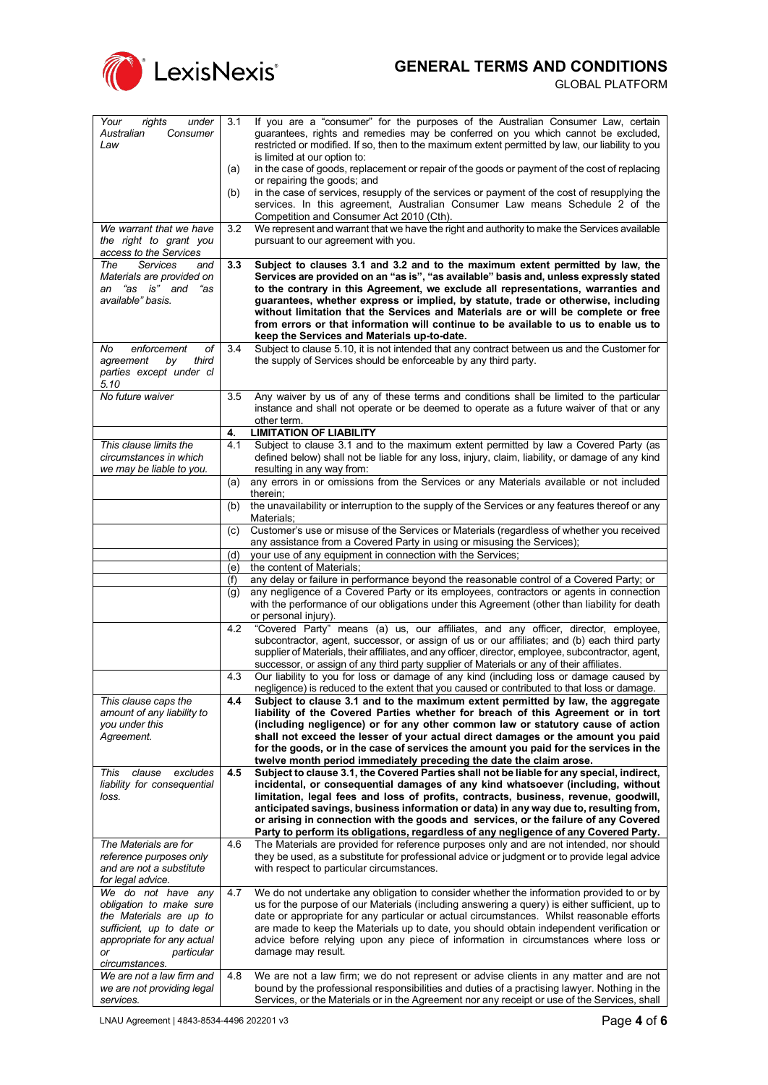

<span id="page-3-0"></span>

| Your<br>under<br>rights       | 3.1 | If you are a "consumer" for the purposes of the Australian Consumer Law, certain                                                                                                             |
|-------------------------------|-----|----------------------------------------------------------------------------------------------------------------------------------------------------------------------------------------------|
| Australian<br>Consumer        |     | guarantees, rights and remedies may be conferred on you which cannot be excluded,                                                                                                            |
| Law                           |     | restricted or modified. If so, then to the maximum extent permitted by law, our liability to you                                                                                             |
|                               |     | is limited at our option to:                                                                                                                                                                 |
|                               | (a) | in the case of goods, replacement or repair of the goods or payment of the cost of replacing                                                                                                 |
|                               |     | or repairing the goods; and                                                                                                                                                                  |
|                               | (b) | in the case of services, resupply of the services or payment of the cost of resupplying the                                                                                                  |
|                               |     | services. In this agreement, Australian Consumer Law means Schedule 2 of the                                                                                                                 |
|                               |     | Competition and Consumer Act 2010 (Cth).                                                                                                                                                     |
| We warrant that we have       | 3.2 | We represent and warrant that we have the right and authority to make the Services available                                                                                                 |
| the right to grant you        |     | pursuant to our agreement with you.                                                                                                                                                          |
| access to the Services        |     |                                                                                                                                                                                              |
| The<br><b>Services</b><br>and | 3.3 | Subject to clauses 3.1 and 3.2 and to the maximum extent permitted by law, the                                                                                                               |
| Materials are provided on     |     | Services are provided on an "as is", "as available" basis and, unless expressly stated                                                                                                       |
| "as is" and<br>"as<br>an      |     | to the contrary in this Agreement, we exclude all representations, warranties and                                                                                                            |
| available" basis.             |     | guarantees, whether express or implied, by statute, trade or otherwise, including                                                                                                            |
|                               |     | without limitation that the Services and Materials are or will be complete or free                                                                                                           |
|                               |     |                                                                                                                                                                                              |
|                               |     | from errors or that information will continue to be available to us to enable us to                                                                                                          |
|                               |     | keep the Services and Materials up-to-date.                                                                                                                                                  |
| enforcement<br>оf<br>No       | 3.4 | Subject to clause 5.10, it is not intended that any contract between us and the Customer for                                                                                                 |
| agreement<br>third<br>bv      |     | the supply of Services should be enforceable by any third party.                                                                                                                             |
| parties except under cl       |     |                                                                                                                                                                                              |
| 5.10                          |     |                                                                                                                                                                                              |
| No future waiver              | 3.5 | Any waiver by us of any of these terms and conditions shall be limited to the particular                                                                                                     |
|                               |     | instance and shall not operate or be deemed to operate as a future waiver of that or any                                                                                                     |
|                               |     | other term.                                                                                                                                                                                  |
|                               | 4.  | <b>LIMITATION OF LIABILITY</b>                                                                                                                                                               |
| This clause limits the        | 4.1 | Subject to clause 3.1 and to the maximum extent permitted by law a Covered Party (as                                                                                                         |
| circumstances in which        |     | defined below) shall not be liable for any loss, injury, claim, liability, or damage of any kind                                                                                             |
| we may be liable to you.      |     | resulting in any way from:                                                                                                                                                                   |
|                               | (a) | any errors in or omissions from the Services or any Materials available or not included                                                                                                      |
|                               |     | therein;                                                                                                                                                                                     |
|                               | (b) | the unavailability or interruption to the supply of the Services or any features thereof or any                                                                                              |
|                               |     | Materials;                                                                                                                                                                                   |
|                               | (c) | Customer's use or misuse of the Services or Materials (regardless of whether you received                                                                                                    |
|                               |     | any assistance from a Covered Party in using or misusing the Services);                                                                                                                      |
|                               | (d) | your use of any equipment in connection with the Services;                                                                                                                                   |
|                               |     | the content of Materials;                                                                                                                                                                    |
|                               | (e) |                                                                                                                                                                                              |
|                               | (f) | any delay or failure in performance beyond the reasonable control of a Covered Party; or                                                                                                     |
|                               | (g) | any negligence of a Covered Party or its employees, contractors or agents in connection                                                                                                      |
|                               |     | with the performance of our obligations under this Agreement (other than liability for death                                                                                                 |
|                               |     | or personal injury).                                                                                                                                                                         |
|                               | 4.2 | "Covered Party" means (a) us, our affiliates, and any officer, director, employee,                                                                                                           |
|                               |     | subcontractor, agent, successor, or assign of us or our affiliates; and (b) each third party                                                                                                 |
|                               |     | supplier of Materials, their affiliates, and any officer, director, employee, subcontractor, agent,                                                                                          |
|                               |     | successor, or assign of any third party supplier of Materials or any of their affiliates.                                                                                                    |
|                               | 4.3 | Our liability to you for loss or damage of any kind (including loss or damage caused by                                                                                                      |
|                               |     | negligence) is reduced to the extent that you caused or contributed to that loss or damage.                                                                                                  |
| This clause caps the          | 4.4 | Subject to clause 3.1 and to the maximum extent permitted by law, the aggregate                                                                                                              |
| amount of any liability to    |     | liability of the Covered Parties whether for breach of this Agreement or in tort                                                                                                             |
| you under this                |     | (including negligence) or for any other common law or statutory cause of action                                                                                                              |
| Agreement.                    |     | shall not exceed the lesser of your actual direct damages or the amount you paid                                                                                                             |
|                               |     | for the goods, or in the case of services the amount you paid for the services in the                                                                                                        |
|                               |     | twelve month period immediately preceding the date the claim arose.                                                                                                                          |
| This<br>clause<br>excludes    | 4.5 | Subject to clause 3.1, the Covered Parties shall not be liable for any special, indirect,                                                                                                    |
| liability for consequential   |     | incidental, or consequential damages of any kind whatsoever (including, without                                                                                                              |
| loss.                         |     | limitation, legal fees and loss of profits, contracts, business, revenue, goodwill,                                                                                                          |
|                               |     | anticipated savings, business information or data) in any way due to, resulting from,                                                                                                        |
|                               |     | or arising in connection with the goods and services, or the failure of any Covered                                                                                                          |
|                               |     | Party to perform its obligations, regardless of any negligence of any Covered Party.                                                                                                         |
| The Materials are for         | 4.6 | The Materials are provided for reference purposes only and are not intended, nor should                                                                                                      |
| reference purposes only       |     | they be used, as a substitute for professional advice or judgment or to provide legal advice                                                                                                 |
| and are not a substitute      |     | with respect to particular circumstances.                                                                                                                                                    |
|                               |     |                                                                                                                                                                                              |
| for legal advice.             |     |                                                                                                                                                                                              |
| We do not have any            | 4.7 | We do not undertake any obligation to consider whether the information provided to or by                                                                                                     |
| obligation to make sure       |     | us for the purpose of our Materials (including answering a query) is either sufficient, up to                                                                                                |
| the Materials are up to       |     | date or appropriate for any particular or actual circumstances. Whilst reasonable efforts                                                                                                    |
| sufficient, up to date or     |     | are made to keep the Materials up to date, you should obtain independent verification or                                                                                                     |
| appropriate for any actual    |     | advice before relying upon any piece of information in circumstances where loss or                                                                                                           |
| particular<br>or              |     | damage may result.                                                                                                                                                                           |
| circumstances.                |     |                                                                                                                                                                                              |
|                               |     |                                                                                                                                                                                              |
| We are not a law firm and     | 4.8 | We are not a law firm; we do not represent or advise clients in any matter and are not                                                                                                       |
| we are not providing legal    |     | bound by the professional responsibilities and duties of a practising lawyer. Nothing in the<br>Services, or the Materials or in the Agreement nor any receipt or use of the Services, shall |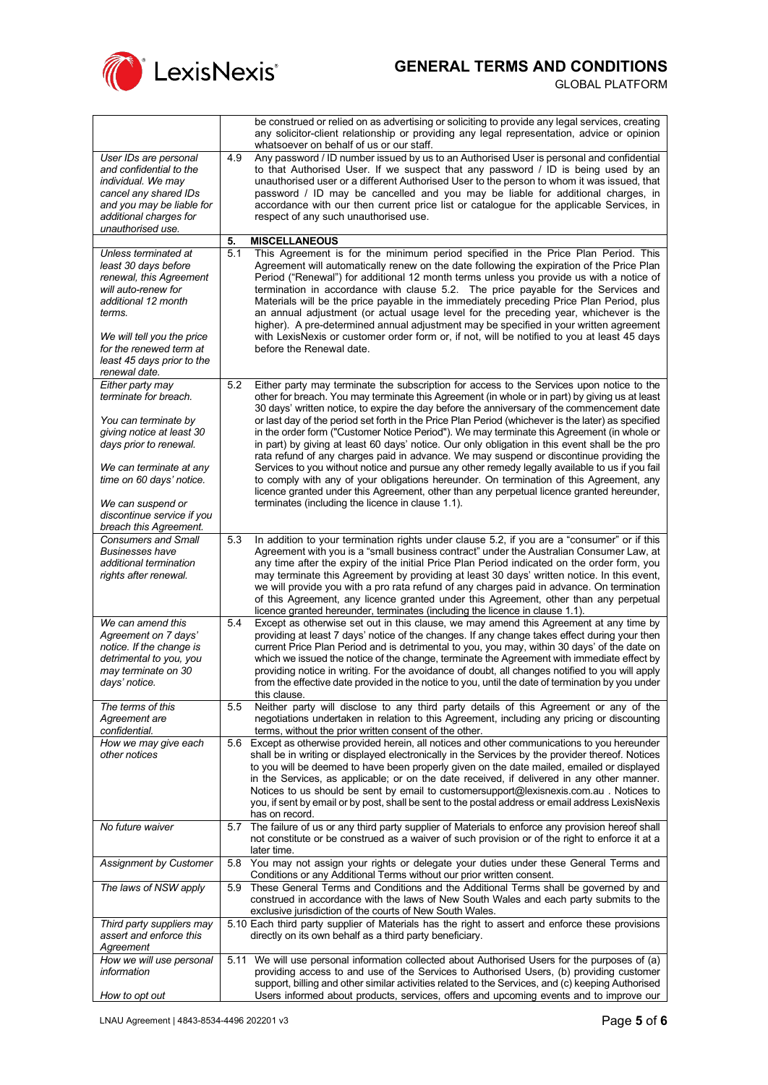

 $\mathbf{r}$ 

GLOBAL PLATFORM

H.

<span id="page-4-0"></span>

|                                                       | be construed or relied on as advertising or soliciting to provide any legal services, creating<br>any solicitor-client relationship or providing any legal representation, advice or opinion       |
|-------------------------------------------------------|----------------------------------------------------------------------------------------------------------------------------------------------------------------------------------------------------|
|                                                       | whatsoever on behalf of us or our staff.                                                                                                                                                           |
| User IDs are personal<br>and confidential to the      | Any password / ID number issued by us to an Authorised User is personal and confidential<br>4.9<br>to that Authorised User. If we suspect that any password / ID is being used by an               |
| individual. We may                                    | unauthorised user or a different Authorised User to the person to whom it was issued, that                                                                                                         |
| cancel any shared IDs                                 | password / ID may be cancelled and you may be liable for additional charges, in                                                                                                                    |
| and you may be liable for<br>additional charges for   | accordance with our then current price list or catalogue for the applicable Services, in<br>respect of any such unauthorised use.                                                                  |
| unauthorised use.                                     |                                                                                                                                                                                                    |
|                                                       | <b>MISCELLANEOUS</b><br>5.                                                                                                                                                                         |
| Unless terminated at<br>least 30 days before          | This Agreement is for the minimum period specified in the Price Plan Period. This<br>5.1<br>Agreement will automatically renew on the date following the expiration of the Price Plan              |
| renewal, this Agreement                               | Period ("Renewal") for additional 12 month terms unless you provide us with a notice of                                                                                                            |
| will auto-renew for                                   | termination in accordance with clause 5.2. The price payable for the Services and                                                                                                                  |
| additional 12 month<br>terms.                         | Materials will be the price payable in the immediately preceding Price Plan Period, plus<br>an annual adjustment (or actual usage level for the preceding year, whichever is the                   |
|                                                       | higher). A pre-determined annual adjustment may be specified in your written agreement                                                                                                             |
| We will tell you the price<br>for the renewed term at | with LexisNexis or customer order form or, if not, will be notified to you at least 45 days<br>before the Renewal date.                                                                            |
| least 45 days prior to the                            |                                                                                                                                                                                                    |
| renewal date.                                         |                                                                                                                                                                                                    |
| Either party may<br>terminate for breach.             | 5.2<br>Either party may terminate the subscription for access to the Services upon notice to the<br>other for breach. You may terminate this Agreement (in whole or in part) by giving us at least |
|                                                       | 30 days' written notice, to expire the day before the anniversary of the commencement date                                                                                                         |
| You can terminate by                                  | or last day of the period set forth in the Price Plan Period (whichever is the later) as specified                                                                                                 |
| giving notice at least 30<br>days prior to renewal.   | in the order form ("Customer Notice Period"). We may terminate this Agreement (in whole or<br>in part) by giving at least 60 days' notice. Our only obligation in this event shall be the pro      |
|                                                       | rata refund of any charges paid in advance. We may suspend or discontinue providing the                                                                                                            |
| We can terminate at any<br>time on 60 days' notice.   | Services to you without notice and pursue any other remedy legally available to us if you fail<br>to comply with any of your obligations hereunder. On termination of this Agreement, any          |
|                                                       | licence granted under this Agreement, other than any perpetual licence granted hereunder,                                                                                                          |
| We can suspend or                                     | terminates (including the licence in clause 1.1).                                                                                                                                                  |
| discontinue service if you<br>breach this Agreement.  |                                                                                                                                                                                                    |
| <b>Consumers and Small</b>                            | In addition to your termination rights under clause 5.2, if you are a "consumer" or if this<br>5.3                                                                                                 |
| <b>Businesses have</b><br>additional termination      | Agreement with you is a "small business contract" under the Australian Consumer Law, at<br>any time after the expiry of the initial Price Plan Period indicated on the order form, you             |
| rights after renewal.                                 | may terminate this Agreement by providing at least 30 days' written notice. In this event,                                                                                                         |
|                                                       | we will provide you with a pro rata refund of any charges paid in advance. On termination                                                                                                          |
|                                                       | of this Agreement, any licence granted under this Agreement, other than any perpetual<br>licence granted hereunder, terminates (including the licence in clause 1.1).                              |
| We can amend this                                     | 5.4<br>Except as otherwise set out in this clause, we may amend this Agreement at any time by                                                                                                      |
| Agreement on 7 days'<br>notice. If the change is      | providing at least 7 days' notice of the changes. If any change takes effect during your then<br>current Price Plan Period and is detrimental to you, you may, within 30 days' of the date on      |
| detrimental to you, you                               | which we issued the notice of the change, terminate the Agreement with immediate effect by                                                                                                         |
| may terminate on 30                                   | providing notice in writing. For the avoidance of doubt, all changes notified to you will apply                                                                                                    |
| days' notice.                                         | from the effective date provided in the notice to you, until the date of termination by you under<br>this clause.                                                                                  |
| The terms of this                                     | Neither party will disclose to any third party details of this Agreement or any of the<br>5.5                                                                                                      |
| Agreement are<br>confidential.                        | negotiations undertaken in relation to this Agreement, including any pricing or discounting<br>terms, without the prior written consent of the other.                                              |
| How we may give each                                  | 5.6<br>Except as otherwise provided herein, all notices and other communications to you hereunder                                                                                                  |
| other notices                                         | shall be in writing or displayed electronically in the Services by the provider thereof. Notices<br>to you will be deemed to have been properly given on the date mailed, emailed or displayed     |
|                                                       | in the Services, as applicable; or on the date received, if delivered in any other manner.                                                                                                         |
|                                                       | Notices to us should be sent by email to customersupport@lexisnexis.com.au. Notices to                                                                                                             |
|                                                       | you, if sent by email or by post, shall be sent to the postal address or email address LexisNexis<br>has on record.                                                                                |
| No future waiver                                      | The failure of us or any third party supplier of Materials to enforce any provision hereof shall<br>5.7                                                                                            |
|                                                       | not constitute or be construed as a waiver of such provision or of the right to enforce it at a<br>later time.                                                                                     |
| <b>Assignment by Customer</b>                         | 5.8<br>You may not assign your rights or delegate your duties under these General Terms and                                                                                                        |
|                                                       | Conditions or any Additional Terms without our prior written consent.<br>These General Terms and Conditions and the Additional Terms shall be governed by and<br>5.9                               |
| The laws of NSW apply                                 | construed in accordance with the laws of New South Wales and each party submits to the                                                                                                             |
|                                                       | exclusive jurisdiction of the courts of New South Wales.                                                                                                                                           |
| Third party suppliers may<br>assert and enforce this  | 5.10 Each third party supplier of Materials has the right to assert and enforce these provisions<br>directly on its own behalf as a third party beneficiary.                                       |
| Agreement                                             |                                                                                                                                                                                                    |
| How we will use personal<br>information               | 5.11 We will use personal information collected about Authorised Users for the purposes of (a)<br>providing access to and use of the Services to Authorised Users, (b) providing customer          |
|                                                       | support, billing and other similar activities related to the Services, and (c) keeping Authorised                                                                                                  |
| How to opt out                                        | Users informed about products, services, offers and upcoming events and to improve our                                                                                                             |